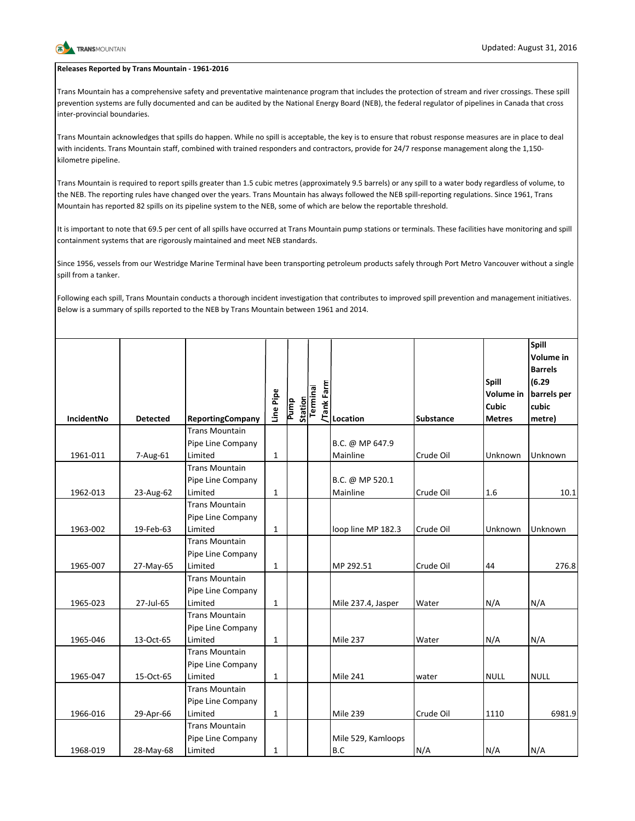

## **Releases Reported by Trans Mountain - 1961-2016**

Trans Mountain has a comprehensive safety and preventative maintenance program that includes the protection of stream and river crossings. These spill prevention systems are fully documented and can be audited by the National Energy Board (NEB), the federal regulator of pipelines in Canada that cross inter-provincial boundaries.

Trans Mountain acknowledges that spills do happen. While no spill is acceptable, the key is to ensure that robust response measures are in place to deal with incidents. Trans Mountain staff, combined with trained responders and contractors, provide for 24/7 response management along the 1,150kilometre pipeline.

Trans Mountain is required to report spills greater than 1.5 cubic metres (approximately 9.5 barrels) or any spill to a water body regardless of volume, to the NEB. The reporting rules have changed over the years. Trans Mountain has always followed the NEB spill-reporting regulations. Since 1961, Trans Mountain has reported 82 spills on its pipeline system to the NEB, some of which are below the reportable threshold.

It is important to note that 69.5 per cent of all spills have occurred at Trans Mountain pump stations or terminals. These facilities have monitoring and spill containment systems that are rigorously maintained and meet NEB standards.

Since 1956, vessels from our Westridge Marine Terminal have been transporting petroleum products safely through Port Metro Vancouver without a single spill from a tanker.

Following each spill, Trans Mountain conducts a thorough incident investigation that contributes to improved spill prevention and management initiatives. Below is a summary of spills reported to the NEB by Trans Mountain between 1961 and 2014.

| <b>IncidentNo</b> | <b>Detected</b> | <b>ReportingCompany</b>                               | Line Pipe    | <b>Station</b><br>Pump | Tank Farm<br>Terminal | Location                    | <b>Substance</b> | <b>Spill</b><br><b>Volume</b> in<br><b>Cubic</b><br><b>Metres</b> | Spill<br>Volume in<br><b>Barrels</b><br>(6.29)<br>barrels per<br>cubic<br>metre) |
|-------------------|-----------------|-------------------------------------------------------|--------------|------------------------|-----------------------|-----------------------------|------------------|-------------------------------------------------------------------|----------------------------------------------------------------------------------|
|                   |                 | <b>Trans Mountain</b><br>Pipe Line Company            |              |                        |                       | B.C. @ MP 647.9             |                  |                                                                   |                                                                                  |
| 1961-011          | 7-Aug-61        | Limited                                               | $\mathbf{1}$ |                        |                       | Mainline                    | Crude Oil        | Unknown                                                           | Unknown                                                                          |
| 1962-013          | 23-Aug-62       | <b>Trans Mountain</b><br>Pipe Line Company<br>Limited | $\mathbf{1}$ |                        |                       | B.C. @ MP 520.1<br>Mainline | Crude Oil        | 1.6                                                               | 10.1                                                                             |
| 1963-002          | 19-Feb-63       | <b>Trans Mountain</b><br>Pipe Line Company<br>Limited | $\mathbf{1}$ |                        |                       | loop line MP 182.3          | Crude Oil        | Unknown                                                           | Unknown                                                                          |
| 1965-007          | 27-May-65       | <b>Trans Mountain</b><br>Pipe Line Company<br>Limited | $\mathbf{1}$ |                        |                       | MP 292.51                   | Crude Oil        | 44                                                                | 276.8                                                                            |
| 1965-023          | 27-Jul-65       | <b>Trans Mountain</b><br>Pipe Line Company<br>Limited | $\mathbf{1}$ |                        |                       | Mile 237.4, Jasper          | Water            | N/A                                                               | N/A                                                                              |
| 1965-046          | 13-Oct-65       | <b>Trans Mountain</b><br>Pipe Line Company<br>Limited | $\mathbf{1}$ |                        |                       | <b>Mile 237</b>             | Water            | N/A                                                               | N/A                                                                              |
| 1965-047          | 15-Oct-65       | <b>Trans Mountain</b><br>Pipe Line Company<br>Limited | $\mathbf{1}$ |                        |                       | <b>Mile 241</b>             | water            | <b>NULL</b>                                                       | <b>NULL</b>                                                                      |
| 1966-016          | 29-Apr-66       | <b>Trans Mountain</b><br>Pipe Line Company<br>Limited | $\mathbf{1}$ |                        |                       | <b>Mile 239</b>             | Crude Oil        | 1110                                                              | 6981.9                                                                           |
| 1968-019          | 28-May-68       | <b>Trans Mountain</b><br>Pipe Line Company<br>Limited | $\mathbf{1}$ |                        |                       | Mile 529, Kamloops<br>B.C   | N/A              | N/A                                                               | N/A                                                                              |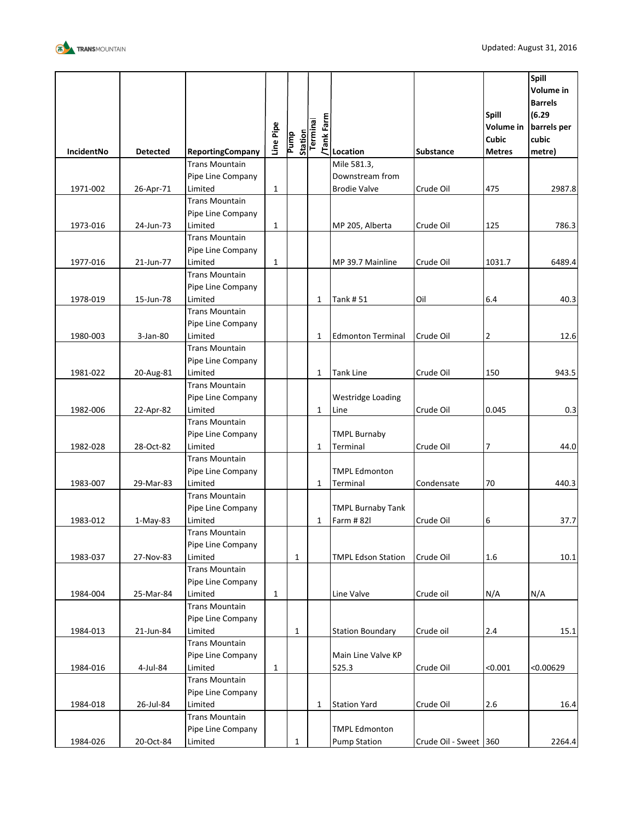

| <b>Trans Mountain</b><br>Mile 581.3,<br>Downstream from<br>Pipe Line Company<br>Limited<br>$\mathbf{1}$<br><b>Brodie Valve</b><br>1971-002<br>26-Apr-71<br>Crude Oil<br>475<br>2987.8<br><b>Trans Mountain</b><br>Pipe Line Company<br>Limited<br>$\mathbf{1}$<br>1973-016<br>24-Jun-73<br>786.3<br>MP 205, Alberta<br>Crude Oil<br>125<br><b>Trans Mountain</b><br>Pipe Line Company<br>Limited<br>$\mathbf{1}$<br>1977-016<br>21-Jun-77<br>MP 39.7 Mainline<br>Crude Oil<br>1031.7<br>6489.4<br><b>Trans Mountain</b><br>Pipe Line Company<br>Limited<br><b>Tank #51</b><br>Oil<br>1978-019<br>15-Jun-78<br>1<br>6.4<br>40.3<br><b>Trans Mountain</b><br>Pipe Line Company<br>Limited<br>1980-003<br>3-Jan-80<br>1<br><b>Edmonton Terminal</b><br>Crude Oil<br>2<br>12.6<br><b>Trans Mountain</b><br>Pipe Line Company<br>Limited<br><b>Tank Line</b><br>150<br>1981-022<br>20-Aug-81<br>$\mathbf{1}$<br>Crude Oil<br>943.5<br><b>Trans Mountain</b><br>Pipe Line Company<br><b>Westridge Loading</b><br>1982-006<br>Limited<br>0.045<br>22-Apr-82<br>$\mathbf{1}$<br>Line<br>Crude Oil<br>0.3<br><b>Trans Mountain</b><br><b>TMPL Burnaby</b><br>Pipe Line Company<br>$\overline{7}$<br>Limited<br>Terminal<br>1982-028<br>28-Oct-82<br>$\mathbf{1}$<br>Crude Oil<br>44.0<br><b>Trans Mountain</b><br>Pipe Line Company<br><b>TMPL Edmonton</b><br>1983-007<br>Limited<br>70<br>440.3<br>29-Mar-83<br>Terminal<br>Condensate<br>1<br><b>Trans Mountain</b><br>Pipe Line Company<br><b>TMPL Burnaby Tank</b><br>Farm # 82l<br>6<br>1983-012<br>1-May-83<br>Limited<br>Crude Oil<br>37.7<br>1<br><b>Trans Mountain</b><br>Pipe Line Company<br>Limited<br>1983-037<br>27-Nov-83<br>$\mathbf{1}$<br><b>TMPL Edson Station</b><br>Crude Oil<br>1.6<br>10.1<br><b>Trans Mountain</b><br>Pipe Line Company<br>Limited<br>$\mathbf{1}$<br>Line Valve<br>1984-004<br>25-Mar-84<br>Crude oil<br>N/A<br>N/A<br><b>Trans Mountain</b><br>Pipe Line Company<br>Limited<br>$2.4\,$<br>1984-013<br>21-Jun-84<br>$\mathbf{1}$<br><b>Station Boundary</b><br>Crude oil<br>15.1<br><b>Trans Mountain</b><br>Pipe Line Company<br>Main Line Valve KP<br>Limited<br>1984-016<br>4-Jul-84<br>$\mathbf{1}$<br>525.3<br>Crude Oil<br>< 0.001<br>< 0.00629<br><b>Trans Mountain</b><br>Pipe Line Company<br>Limited<br>1984-018<br>26-Jul-84<br><b>Station Yard</b><br>Crude Oil<br>2.6<br>1<br><b>Trans Mountain</b><br><b>TMPL Edmonton</b><br>Pipe Line Company<br>1984-026<br><b>Pump Station</b><br>20-Oct-84<br>Limited<br>1<br>Crude Oil - Sweet 360 | <b>IncidentNo</b> | <b>Detected</b> | <b>ReportingCompany</b> | Line Pipe | Station<br>Pump | Tank Farm<br>Terminal | Location | <b>Substance</b> | Spill<br>Volume in<br>Cubic<br><b>Metres</b> | Spill<br>Volume in<br><b>Barrels</b><br>(6.29)<br>barrels per<br>cubic<br>metre) |
|-----------------------------------------------------------------------------------------------------------------------------------------------------------------------------------------------------------------------------------------------------------------------------------------------------------------------------------------------------------------------------------------------------------------------------------------------------------------------------------------------------------------------------------------------------------------------------------------------------------------------------------------------------------------------------------------------------------------------------------------------------------------------------------------------------------------------------------------------------------------------------------------------------------------------------------------------------------------------------------------------------------------------------------------------------------------------------------------------------------------------------------------------------------------------------------------------------------------------------------------------------------------------------------------------------------------------------------------------------------------------------------------------------------------------------------------------------------------------------------------------------------------------------------------------------------------------------------------------------------------------------------------------------------------------------------------------------------------------------------------------------------------------------------------------------------------------------------------------------------------------------------------------------------------------------------------------------------------------------------------------------------------------------------------------------------------------------------------------------------------------------------------------------------------------------------------------------------------------------------------------------------------------------------------------------------------------------------------------------------------------------------------------------------------------------------------------------------------------------------------------------------------------------------------|-------------------|-----------------|-------------------------|-----------|-----------------|-----------------------|----------|------------------|----------------------------------------------|----------------------------------------------------------------------------------|
|                                                                                                                                                                                                                                                                                                                                                                                                                                                                                                                                                                                                                                                                                                                                                                                                                                                                                                                                                                                                                                                                                                                                                                                                                                                                                                                                                                                                                                                                                                                                                                                                                                                                                                                                                                                                                                                                                                                                                                                                                                                                                                                                                                                                                                                                                                                                                                                                                                                                                                                                         |                   |                 |                         |           |                 |                       |          |                  |                                              |                                                                                  |
|                                                                                                                                                                                                                                                                                                                                                                                                                                                                                                                                                                                                                                                                                                                                                                                                                                                                                                                                                                                                                                                                                                                                                                                                                                                                                                                                                                                                                                                                                                                                                                                                                                                                                                                                                                                                                                                                                                                                                                                                                                                                                                                                                                                                                                                                                                                                                                                                                                                                                                                                         |                   |                 |                         |           |                 |                       |          |                  |                                              |                                                                                  |
|                                                                                                                                                                                                                                                                                                                                                                                                                                                                                                                                                                                                                                                                                                                                                                                                                                                                                                                                                                                                                                                                                                                                                                                                                                                                                                                                                                                                                                                                                                                                                                                                                                                                                                                                                                                                                                                                                                                                                                                                                                                                                                                                                                                                                                                                                                                                                                                                                                                                                                                                         |                   |                 |                         |           |                 |                       |          |                  |                                              |                                                                                  |
|                                                                                                                                                                                                                                                                                                                                                                                                                                                                                                                                                                                                                                                                                                                                                                                                                                                                                                                                                                                                                                                                                                                                                                                                                                                                                                                                                                                                                                                                                                                                                                                                                                                                                                                                                                                                                                                                                                                                                                                                                                                                                                                                                                                                                                                                                                                                                                                                                                                                                                                                         |                   |                 |                         |           |                 |                       |          |                  |                                              |                                                                                  |
|                                                                                                                                                                                                                                                                                                                                                                                                                                                                                                                                                                                                                                                                                                                                                                                                                                                                                                                                                                                                                                                                                                                                                                                                                                                                                                                                                                                                                                                                                                                                                                                                                                                                                                                                                                                                                                                                                                                                                                                                                                                                                                                                                                                                                                                                                                                                                                                                                                                                                                                                         |                   |                 |                         |           |                 |                       |          |                  |                                              |                                                                                  |
|                                                                                                                                                                                                                                                                                                                                                                                                                                                                                                                                                                                                                                                                                                                                                                                                                                                                                                                                                                                                                                                                                                                                                                                                                                                                                                                                                                                                                                                                                                                                                                                                                                                                                                                                                                                                                                                                                                                                                                                                                                                                                                                                                                                                                                                                                                                                                                                                                                                                                                                                         |                   |                 |                         |           |                 |                       |          |                  |                                              |                                                                                  |
|                                                                                                                                                                                                                                                                                                                                                                                                                                                                                                                                                                                                                                                                                                                                                                                                                                                                                                                                                                                                                                                                                                                                                                                                                                                                                                                                                                                                                                                                                                                                                                                                                                                                                                                                                                                                                                                                                                                                                                                                                                                                                                                                                                                                                                                                                                                                                                                                                                                                                                                                         |                   |                 |                         |           |                 |                       |          |                  |                                              |                                                                                  |
| 16.4<br>2264.4                                                                                                                                                                                                                                                                                                                                                                                                                                                                                                                                                                                                                                                                                                                                                                                                                                                                                                                                                                                                                                                                                                                                                                                                                                                                                                                                                                                                                                                                                                                                                                                                                                                                                                                                                                                                                                                                                                                                                                                                                                                                                                                                                                                                                                                                                                                                                                                                                                                                                                                          |                   |                 |                         |           |                 |                       |          |                  |                                              |                                                                                  |
|                                                                                                                                                                                                                                                                                                                                                                                                                                                                                                                                                                                                                                                                                                                                                                                                                                                                                                                                                                                                                                                                                                                                                                                                                                                                                                                                                                                                                                                                                                                                                                                                                                                                                                                                                                                                                                                                                                                                                                                                                                                                                                                                                                                                                                                                                                                                                                                                                                                                                                                                         |                   |                 |                         |           |                 |                       |          |                  |                                              |                                                                                  |
|                                                                                                                                                                                                                                                                                                                                                                                                                                                                                                                                                                                                                                                                                                                                                                                                                                                                                                                                                                                                                                                                                                                                                                                                                                                                                                                                                                                                                                                                                                                                                                                                                                                                                                                                                                                                                                                                                                                                                                                                                                                                                                                                                                                                                                                                                                                                                                                                                                                                                                                                         |                   |                 |                         |           |                 |                       |          |                  |                                              |                                                                                  |
|                                                                                                                                                                                                                                                                                                                                                                                                                                                                                                                                                                                                                                                                                                                                                                                                                                                                                                                                                                                                                                                                                                                                                                                                                                                                                                                                                                                                                                                                                                                                                                                                                                                                                                                                                                                                                                                                                                                                                                                                                                                                                                                                                                                                                                                                                                                                                                                                                                                                                                                                         |                   |                 |                         |           |                 |                       |          |                  |                                              |                                                                                  |
|                                                                                                                                                                                                                                                                                                                                                                                                                                                                                                                                                                                                                                                                                                                                                                                                                                                                                                                                                                                                                                                                                                                                                                                                                                                                                                                                                                                                                                                                                                                                                                                                                                                                                                                                                                                                                                                                                                                                                                                                                                                                                                                                                                                                                                                                                                                                                                                                                                                                                                                                         |                   |                 |                         |           |                 |                       |          |                  |                                              |                                                                                  |
|                                                                                                                                                                                                                                                                                                                                                                                                                                                                                                                                                                                                                                                                                                                                                                                                                                                                                                                                                                                                                                                                                                                                                                                                                                                                                                                                                                                                                                                                                                                                                                                                                                                                                                                                                                                                                                                                                                                                                                                                                                                                                                                                                                                                                                                                                                                                                                                                                                                                                                                                         |                   |                 |                         |           |                 |                       |          |                  |                                              |                                                                                  |
|                                                                                                                                                                                                                                                                                                                                                                                                                                                                                                                                                                                                                                                                                                                                                                                                                                                                                                                                                                                                                                                                                                                                                                                                                                                                                                                                                                                                                                                                                                                                                                                                                                                                                                                                                                                                                                                                                                                                                                                                                                                                                                                                                                                                                                                                                                                                                                                                                                                                                                                                         |                   |                 |                         |           |                 |                       |          |                  |                                              |                                                                                  |
|                                                                                                                                                                                                                                                                                                                                                                                                                                                                                                                                                                                                                                                                                                                                                                                                                                                                                                                                                                                                                                                                                                                                                                                                                                                                                                                                                                                                                                                                                                                                                                                                                                                                                                                                                                                                                                                                                                                                                                                                                                                                                                                                                                                                                                                                                                                                                                                                                                                                                                                                         |                   |                 |                         |           |                 |                       |          |                  |                                              |                                                                                  |
|                                                                                                                                                                                                                                                                                                                                                                                                                                                                                                                                                                                                                                                                                                                                                                                                                                                                                                                                                                                                                                                                                                                                                                                                                                                                                                                                                                                                                                                                                                                                                                                                                                                                                                                                                                                                                                                                                                                                                                                                                                                                                                                                                                                                                                                                                                                                                                                                                                                                                                                                         |                   |                 |                         |           |                 |                       |          |                  |                                              |                                                                                  |
|                                                                                                                                                                                                                                                                                                                                                                                                                                                                                                                                                                                                                                                                                                                                                                                                                                                                                                                                                                                                                                                                                                                                                                                                                                                                                                                                                                                                                                                                                                                                                                                                                                                                                                                                                                                                                                                                                                                                                                                                                                                                                                                                                                                                                                                                                                                                                                                                                                                                                                                                         |                   |                 |                         |           |                 |                       |          |                  |                                              |                                                                                  |
|                                                                                                                                                                                                                                                                                                                                                                                                                                                                                                                                                                                                                                                                                                                                                                                                                                                                                                                                                                                                                                                                                                                                                                                                                                                                                                                                                                                                                                                                                                                                                                                                                                                                                                                                                                                                                                                                                                                                                                                                                                                                                                                                                                                                                                                                                                                                                                                                                                                                                                                                         |                   |                 |                         |           |                 |                       |          |                  |                                              |                                                                                  |
|                                                                                                                                                                                                                                                                                                                                                                                                                                                                                                                                                                                                                                                                                                                                                                                                                                                                                                                                                                                                                                                                                                                                                                                                                                                                                                                                                                                                                                                                                                                                                                                                                                                                                                                                                                                                                                                                                                                                                                                                                                                                                                                                                                                                                                                                                                                                                                                                                                                                                                                                         |                   |                 |                         |           |                 |                       |          |                  |                                              |                                                                                  |
|                                                                                                                                                                                                                                                                                                                                                                                                                                                                                                                                                                                                                                                                                                                                                                                                                                                                                                                                                                                                                                                                                                                                                                                                                                                                                                                                                                                                                                                                                                                                                                                                                                                                                                                                                                                                                                                                                                                                                                                                                                                                                                                                                                                                                                                                                                                                                                                                                                                                                                                                         |                   |                 |                         |           |                 |                       |          |                  |                                              |                                                                                  |
|                                                                                                                                                                                                                                                                                                                                                                                                                                                                                                                                                                                                                                                                                                                                                                                                                                                                                                                                                                                                                                                                                                                                                                                                                                                                                                                                                                                                                                                                                                                                                                                                                                                                                                                                                                                                                                                                                                                                                                                                                                                                                                                                                                                                                                                                                                                                                                                                                                                                                                                                         |                   |                 |                         |           |                 |                       |          |                  |                                              |                                                                                  |
|                                                                                                                                                                                                                                                                                                                                                                                                                                                                                                                                                                                                                                                                                                                                                                                                                                                                                                                                                                                                                                                                                                                                                                                                                                                                                                                                                                                                                                                                                                                                                                                                                                                                                                                                                                                                                                                                                                                                                                                                                                                                                                                                                                                                                                                                                                                                                                                                                                                                                                                                         |                   |                 |                         |           |                 |                       |          |                  |                                              |                                                                                  |
|                                                                                                                                                                                                                                                                                                                                                                                                                                                                                                                                                                                                                                                                                                                                                                                                                                                                                                                                                                                                                                                                                                                                                                                                                                                                                                                                                                                                                                                                                                                                                                                                                                                                                                                                                                                                                                                                                                                                                                                                                                                                                                                                                                                                                                                                                                                                                                                                                                                                                                                                         |                   |                 |                         |           |                 |                       |          |                  |                                              |                                                                                  |
|                                                                                                                                                                                                                                                                                                                                                                                                                                                                                                                                                                                                                                                                                                                                                                                                                                                                                                                                                                                                                                                                                                                                                                                                                                                                                                                                                                                                                                                                                                                                                                                                                                                                                                                                                                                                                                                                                                                                                                                                                                                                                                                                                                                                                                                                                                                                                                                                                                                                                                                                         |                   |                 |                         |           |                 |                       |          |                  |                                              |                                                                                  |
|                                                                                                                                                                                                                                                                                                                                                                                                                                                                                                                                                                                                                                                                                                                                                                                                                                                                                                                                                                                                                                                                                                                                                                                                                                                                                                                                                                                                                                                                                                                                                                                                                                                                                                                                                                                                                                                                                                                                                                                                                                                                                                                                                                                                                                                                                                                                                                                                                                                                                                                                         |                   |                 |                         |           |                 |                       |          |                  |                                              |                                                                                  |
|                                                                                                                                                                                                                                                                                                                                                                                                                                                                                                                                                                                                                                                                                                                                                                                                                                                                                                                                                                                                                                                                                                                                                                                                                                                                                                                                                                                                                                                                                                                                                                                                                                                                                                                                                                                                                                                                                                                                                                                                                                                                                                                                                                                                                                                                                                                                                                                                                                                                                                                                         |                   |                 |                         |           |                 |                       |          |                  |                                              |                                                                                  |
|                                                                                                                                                                                                                                                                                                                                                                                                                                                                                                                                                                                                                                                                                                                                                                                                                                                                                                                                                                                                                                                                                                                                                                                                                                                                                                                                                                                                                                                                                                                                                                                                                                                                                                                                                                                                                                                                                                                                                                                                                                                                                                                                                                                                                                                                                                                                                                                                                                                                                                                                         |                   |                 |                         |           |                 |                       |          |                  |                                              |                                                                                  |
|                                                                                                                                                                                                                                                                                                                                                                                                                                                                                                                                                                                                                                                                                                                                                                                                                                                                                                                                                                                                                                                                                                                                                                                                                                                                                                                                                                                                                                                                                                                                                                                                                                                                                                                                                                                                                                                                                                                                                                                                                                                                                                                                                                                                                                                                                                                                                                                                                                                                                                                                         |                   |                 |                         |           |                 |                       |          |                  |                                              |                                                                                  |
|                                                                                                                                                                                                                                                                                                                                                                                                                                                                                                                                                                                                                                                                                                                                                                                                                                                                                                                                                                                                                                                                                                                                                                                                                                                                                                                                                                                                                                                                                                                                                                                                                                                                                                                                                                                                                                                                                                                                                                                                                                                                                                                                                                                                                                                                                                                                                                                                                                                                                                                                         |                   |                 |                         |           |                 |                       |          |                  |                                              |                                                                                  |
|                                                                                                                                                                                                                                                                                                                                                                                                                                                                                                                                                                                                                                                                                                                                                                                                                                                                                                                                                                                                                                                                                                                                                                                                                                                                                                                                                                                                                                                                                                                                                                                                                                                                                                                                                                                                                                                                                                                                                                                                                                                                                                                                                                                                                                                                                                                                                                                                                                                                                                                                         |                   |                 |                         |           |                 |                       |          |                  |                                              |                                                                                  |
|                                                                                                                                                                                                                                                                                                                                                                                                                                                                                                                                                                                                                                                                                                                                                                                                                                                                                                                                                                                                                                                                                                                                                                                                                                                                                                                                                                                                                                                                                                                                                                                                                                                                                                                                                                                                                                                                                                                                                                                                                                                                                                                                                                                                                                                                                                                                                                                                                                                                                                                                         |                   |                 |                         |           |                 |                       |          |                  |                                              |                                                                                  |
|                                                                                                                                                                                                                                                                                                                                                                                                                                                                                                                                                                                                                                                                                                                                                                                                                                                                                                                                                                                                                                                                                                                                                                                                                                                                                                                                                                                                                                                                                                                                                                                                                                                                                                                                                                                                                                                                                                                                                                                                                                                                                                                                                                                                                                                                                                                                                                                                                                                                                                                                         |                   |                 |                         |           |                 |                       |          |                  |                                              |                                                                                  |
|                                                                                                                                                                                                                                                                                                                                                                                                                                                                                                                                                                                                                                                                                                                                                                                                                                                                                                                                                                                                                                                                                                                                                                                                                                                                                                                                                                                                                                                                                                                                                                                                                                                                                                                                                                                                                                                                                                                                                                                                                                                                                                                                                                                                                                                                                                                                                                                                                                                                                                                                         |                   |                 |                         |           |                 |                       |          |                  |                                              |                                                                                  |
|                                                                                                                                                                                                                                                                                                                                                                                                                                                                                                                                                                                                                                                                                                                                                                                                                                                                                                                                                                                                                                                                                                                                                                                                                                                                                                                                                                                                                                                                                                                                                                                                                                                                                                                                                                                                                                                                                                                                                                                                                                                                                                                                                                                                                                                                                                                                                                                                                                                                                                                                         |                   |                 |                         |           |                 |                       |          |                  |                                              |                                                                                  |
|                                                                                                                                                                                                                                                                                                                                                                                                                                                                                                                                                                                                                                                                                                                                                                                                                                                                                                                                                                                                                                                                                                                                                                                                                                                                                                                                                                                                                                                                                                                                                                                                                                                                                                                                                                                                                                                                                                                                                                                                                                                                                                                                                                                                                                                                                                                                                                                                                                                                                                                                         |                   |                 |                         |           |                 |                       |          |                  |                                              |                                                                                  |
|                                                                                                                                                                                                                                                                                                                                                                                                                                                                                                                                                                                                                                                                                                                                                                                                                                                                                                                                                                                                                                                                                                                                                                                                                                                                                                                                                                                                                                                                                                                                                                                                                                                                                                                                                                                                                                                                                                                                                                                                                                                                                                                                                                                                                                                                                                                                                                                                                                                                                                                                         |                   |                 |                         |           |                 |                       |          |                  |                                              |                                                                                  |
|                                                                                                                                                                                                                                                                                                                                                                                                                                                                                                                                                                                                                                                                                                                                                                                                                                                                                                                                                                                                                                                                                                                                                                                                                                                                                                                                                                                                                                                                                                                                                                                                                                                                                                                                                                                                                                                                                                                                                                                                                                                                                                                                                                                                                                                                                                                                                                                                                                                                                                                                         |                   |                 |                         |           |                 |                       |          |                  |                                              |                                                                                  |
|                                                                                                                                                                                                                                                                                                                                                                                                                                                                                                                                                                                                                                                                                                                                                                                                                                                                                                                                                                                                                                                                                                                                                                                                                                                                                                                                                                                                                                                                                                                                                                                                                                                                                                                                                                                                                                                                                                                                                                                                                                                                                                                                                                                                                                                                                                                                                                                                                                                                                                                                         |                   |                 |                         |           |                 |                       |          |                  |                                              |                                                                                  |
|                                                                                                                                                                                                                                                                                                                                                                                                                                                                                                                                                                                                                                                                                                                                                                                                                                                                                                                                                                                                                                                                                                                                                                                                                                                                                                                                                                                                                                                                                                                                                                                                                                                                                                                                                                                                                                                                                                                                                                                                                                                                                                                                                                                                                                                                                                                                                                                                                                                                                                                                         |                   |                 |                         |           |                 |                       |          |                  |                                              |                                                                                  |
|                                                                                                                                                                                                                                                                                                                                                                                                                                                                                                                                                                                                                                                                                                                                                                                                                                                                                                                                                                                                                                                                                                                                                                                                                                                                                                                                                                                                                                                                                                                                                                                                                                                                                                                                                                                                                                                                                                                                                                                                                                                                                                                                                                                                                                                                                                                                                                                                                                                                                                                                         |                   |                 |                         |           |                 |                       |          |                  |                                              |                                                                                  |
|                                                                                                                                                                                                                                                                                                                                                                                                                                                                                                                                                                                                                                                                                                                                                                                                                                                                                                                                                                                                                                                                                                                                                                                                                                                                                                                                                                                                                                                                                                                                                                                                                                                                                                                                                                                                                                                                                                                                                                                                                                                                                                                                                                                                                                                                                                                                                                                                                                                                                                                                         |                   |                 |                         |           |                 |                       |          |                  |                                              |                                                                                  |
|                                                                                                                                                                                                                                                                                                                                                                                                                                                                                                                                                                                                                                                                                                                                                                                                                                                                                                                                                                                                                                                                                                                                                                                                                                                                                                                                                                                                                                                                                                                                                                                                                                                                                                                                                                                                                                                                                                                                                                                                                                                                                                                                                                                                                                                                                                                                                                                                                                                                                                                                         |                   |                 |                         |           |                 |                       |          |                  |                                              |                                                                                  |
|                                                                                                                                                                                                                                                                                                                                                                                                                                                                                                                                                                                                                                                                                                                                                                                                                                                                                                                                                                                                                                                                                                                                                                                                                                                                                                                                                                                                                                                                                                                                                                                                                                                                                                                                                                                                                                                                                                                                                                                                                                                                                                                                                                                                                                                                                                                                                                                                                                                                                                                                         |                   |                 |                         |           |                 |                       |          |                  |                                              |                                                                                  |
|                                                                                                                                                                                                                                                                                                                                                                                                                                                                                                                                                                                                                                                                                                                                                                                                                                                                                                                                                                                                                                                                                                                                                                                                                                                                                                                                                                                                                                                                                                                                                                                                                                                                                                                                                                                                                                                                                                                                                                                                                                                                                                                                                                                                                                                                                                                                                                                                                                                                                                                                         |                   |                 |                         |           |                 |                       |          |                  |                                              |                                                                                  |
|                                                                                                                                                                                                                                                                                                                                                                                                                                                                                                                                                                                                                                                                                                                                                                                                                                                                                                                                                                                                                                                                                                                                                                                                                                                                                                                                                                                                                                                                                                                                                                                                                                                                                                                                                                                                                                                                                                                                                                                                                                                                                                                                                                                                                                                                                                                                                                                                                                                                                                                                         |                   |                 |                         |           |                 |                       |          |                  |                                              |                                                                                  |
|                                                                                                                                                                                                                                                                                                                                                                                                                                                                                                                                                                                                                                                                                                                                                                                                                                                                                                                                                                                                                                                                                                                                                                                                                                                                                                                                                                                                                                                                                                                                                                                                                                                                                                                                                                                                                                                                                                                                                                                                                                                                                                                                                                                                                                                                                                                                                                                                                                                                                                                                         |                   |                 |                         |           |                 |                       |          |                  |                                              |                                                                                  |
|                                                                                                                                                                                                                                                                                                                                                                                                                                                                                                                                                                                                                                                                                                                                                                                                                                                                                                                                                                                                                                                                                                                                                                                                                                                                                                                                                                                                                                                                                                                                                                                                                                                                                                                                                                                                                                                                                                                                                                                                                                                                                                                                                                                                                                                                                                                                                                                                                                                                                                                                         |                   |                 |                         |           |                 |                       |          |                  |                                              |                                                                                  |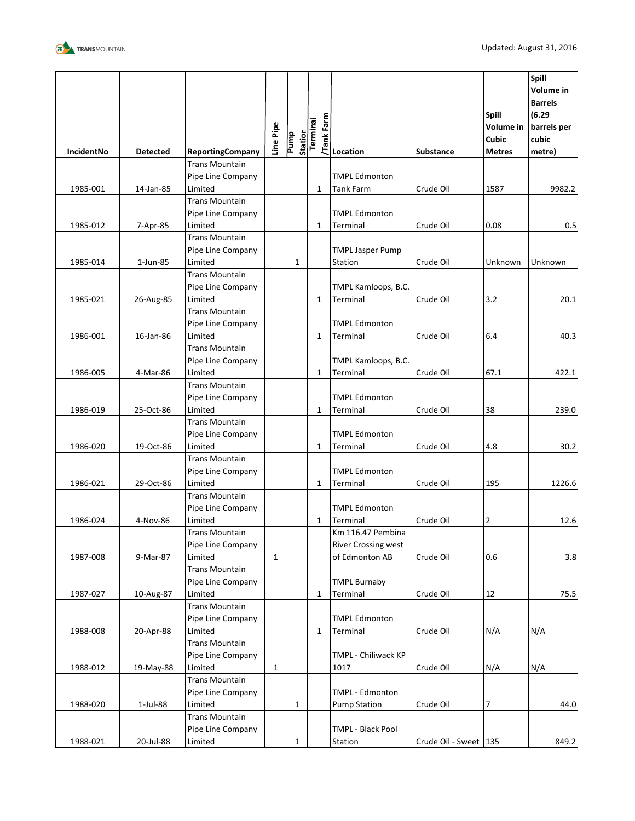

| IncidentNo | <b>Detected</b> | <b>ReportingCompany</b>          | Line Pipe    | <b>Station</b><br><b>Purnp</b> | Tank Farm<br>Terminal | Location                               | <b>Substance</b>      | <b>Spill</b><br><b>Volume</b> in<br><b>Cubic</b><br><b>Metres</b> | Spill<br><b>Volume in</b><br><b>Barrels</b><br>(6.29)<br>barrels per<br>cubic<br>metre) |
|------------|-----------------|----------------------------------|--------------|--------------------------------|-----------------------|----------------------------------------|-----------------------|-------------------------------------------------------------------|-----------------------------------------------------------------------------------------|
|            |                 | <b>Trans Mountain</b>            |              |                                |                       |                                        |                       |                                                                   |                                                                                         |
|            |                 | Pipe Line Company                |              |                                |                       | <b>TMPL Edmonton</b>                   |                       |                                                                   |                                                                                         |
| 1985-001   | 14-Jan-85       | Limited                          |              |                                | $\mathbf{1}$          | <b>Tank Farm</b>                       | Crude Oil             | 1587                                                              | 9982.2                                                                                  |
|            |                 | <b>Trans Mountain</b>            |              |                                |                       |                                        |                       |                                                                   |                                                                                         |
|            |                 | Pipe Line Company                |              |                                |                       | <b>TMPL Edmonton</b>                   |                       |                                                                   |                                                                                         |
| 1985-012   | 7-Apr-85        | Limited                          |              |                                | 1                     | Terminal                               | Crude Oil             | 0.08                                                              | 0.5                                                                                     |
|            |                 | <b>Trans Mountain</b>            |              |                                |                       |                                        |                       |                                                                   |                                                                                         |
|            |                 | Pipe Line Company                |              |                                |                       | <b>TMPL Jasper Pump</b>                |                       |                                                                   |                                                                                         |
| 1985-014   | 1-Jun-85        | Limited                          |              | $\mathbf{1}$                   |                       | Station                                | Crude Oil             | Unknown                                                           | Unknown                                                                                 |
|            |                 | <b>Trans Mountain</b>            |              |                                |                       |                                        |                       |                                                                   |                                                                                         |
|            |                 | Pipe Line Company                |              |                                |                       | TMPL Kamloops, B.C.                    |                       |                                                                   |                                                                                         |
| 1985-021   | 26-Aug-85       | Limited                          |              |                                | 1                     | Terminal                               | Crude Oil             | 3.2                                                               | 20.1                                                                                    |
|            |                 | <b>Trans Mountain</b>            |              |                                |                       |                                        |                       |                                                                   |                                                                                         |
|            |                 | Pipe Line Company                |              |                                |                       | <b>TMPL Edmonton</b>                   |                       |                                                                   |                                                                                         |
| 1986-001   | 16-Jan-86       | Limited                          |              |                                | $\mathbf{1}$          | Terminal                               | Crude Oil             | 6.4                                                               | 40.3                                                                                    |
|            |                 | <b>Trans Mountain</b>            |              |                                |                       |                                        |                       |                                                                   |                                                                                         |
|            |                 | Pipe Line Company                |              |                                | $\mathbf{1}$          | TMPL Kamloops, B.C.                    |                       |                                                                   |                                                                                         |
| 1986-005   | 4-Mar-86        | Limited<br><b>Trans Mountain</b> |              |                                |                       | Terminal                               | Crude Oil             | 67.1                                                              | 422.1                                                                                   |
|            |                 | Pipe Line Company                |              |                                |                       | <b>TMPL Edmonton</b>                   |                       |                                                                   |                                                                                         |
| 1986-019   | 25-Oct-86       | Limited                          |              |                                | $\mathbf{1}$          | Terminal                               | Crude Oil             | 38                                                                | 239.0                                                                                   |
|            |                 | <b>Trans Mountain</b>            |              |                                |                       |                                        |                       |                                                                   |                                                                                         |
|            |                 | Pipe Line Company                |              |                                |                       | <b>TMPL Edmonton</b>                   |                       |                                                                   |                                                                                         |
| 1986-020   | 19-Oct-86       | Limited                          |              |                                | $\mathbf{1}$          | Terminal                               | Crude Oil             | 4.8                                                               | 30.2                                                                                    |
|            |                 | <b>Trans Mountain</b>            |              |                                |                       |                                        |                       |                                                                   |                                                                                         |
|            |                 | Pipe Line Company                |              |                                |                       | <b>TMPL Edmonton</b>                   |                       |                                                                   |                                                                                         |
| 1986-021   | 29-Oct-86       | Limited                          |              |                                | 1                     | Terminal                               | Crude Oil             | 195                                                               | 1226.6                                                                                  |
|            |                 | <b>Trans Mountain</b>            |              |                                |                       |                                        |                       |                                                                   |                                                                                         |
|            |                 | Pipe Line Company                |              |                                |                       | <b>TMPL Edmonton</b>                   |                       |                                                                   |                                                                                         |
| 1986-024   | 4-Nov-86        | Limited                          |              |                                | 1                     | Terminal                               | Crude Oil             | $\overline{2}$                                                    | 12.6                                                                                    |
|            |                 | <b>Trans Mountain</b>            |              |                                |                       | Km 116.47 Pembina                      |                       |                                                                   |                                                                                         |
|            |                 | Pipe Line Company                |              |                                |                       | <b>River Crossing west</b>             |                       |                                                                   |                                                                                         |
| 1987-008   | 9-Mar-87        | Limited                          | $\mathbf{1}$ |                                |                       | of Edmonton AB                         | Crude Oil             | 0.6                                                               | 3.8                                                                                     |
|            |                 | <b>Trans Mountain</b>            |              |                                |                       |                                        |                       |                                                                   |                                                                                         |
|            |                 | Pipe Line Company                |              |                                |                       | <b>TMPL Burnaby</b>                    |                       |                                                                   |                                                                                         |
| 1987-027   | 10-Aug-87       | Limited                          |              |                                | $\mathbf{1}$          | Terminal                               | Crude Oil             | 12                                                                | 75.5                                                                                    |
|            |                 | <b>Trans Mountain</b>            |              |                                |                       |                                        |                       |                                                                   |                                                                                         |
|            |                 | Pipe Line Company                |              |                                |                       | <b>TMPL Edmonton</b>                   |                       |                                                                   |                                                                                         |
| 1988-008   | 20-Apr-88       | Limited                          |              |                                | $\mathbf{1}$          | Terminal                               | Crude Oil             | N/A                                                               | N/A                                                                                     |
|            |                 | <b>Trans Mountain</b>            |              |                                |                       |                                        |                       |                                                                   |                                                                                         |
|            |                 | Pipe Line Company                |              |                                |                       | TMPL - Chiliwack KP                    |                       |                                                                   |                                                                                         |
| 1988-012   | 19-May-88       | Limited                          | $\mathbf{1}$ |                                |                       | 1017                                   | Crude Oil             | N/A                                                               | N/A                                                                                     |
|            |                 | <b>Trans Mountain</b>            |              |                                |                       |                                        |                       |                                                                   |                                                                                         |
| 1988-020   | 1-Jul-88        | Pipe Line Company<br>Limited     |              | $\mathbf{1}$                   |                       | TMPL - Edmonton<br><b>Pump Station</b> | Crude Oil             | 7                                                                 | 44.0                                                                                    |
|            |                 | <b>Trans Mountain</b>            |              |                                |                       |                                        |                       |                                                                   |                                                                                         |
|            |                 | Pipe Line Company                |              |                                |                       | TMPL - Black Pool                      |                       |                                                                   |                                                                                         |
| 1988-021   | 20-Jul-88       | Limited                          |              | $\mathbf{1}$                   |                       | Station                                | Crude Oil - Sweet 135 |                                                                   | 849.2                                                                                   |
|            |                 |                                  |              |                                |                       |                                        |                       |                                                                   |                                                                                         |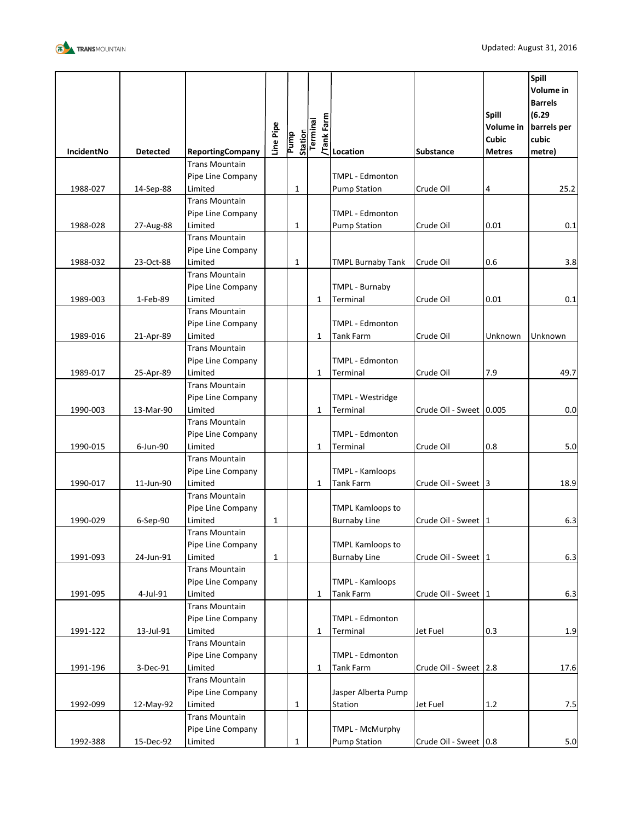

| IncidentNo | <b>Detected</b> | <b>ReportingCompany</b>      | Line Pipe    | Pump         | Station<br>Terminal | <b>E</b><br><b>E</b><br><b>E</b><br><b>Location</b> | <b>Substance</b>      | Spill<br><b>Volume</b> in<br>Cubic<br><b>Metres</b> | Spill<br>Volume in<br><b>Barrels</b><br>(6.29)<br>barrels per<br>cubic<br>metre) |
|------------|-----------------|------------------------------|--------------|--------------|---------------------|-----------------------------------------------------|-----------------------|-----------------------------------------------------|----------------------------------------------------------------------------------|
|            |                 | <b>Trans Mountain</b>        |              |              |                     |                                                     |                       |                                                     |                                                                                  |
|            |                 | Pipe Line Company            |              |              |                     | <b>TMPL - Edmonton</b>                              |                       |                                                     |                                                                                  |
| 1988-027   | 14-Sep-88       | Limited                      |              | $\mathbf{1}$ |                     | <b>Pump Station</b>                                 | Crude Oil             | 4                                                   | 25.2                                                                             |
|            |                 | <b>Trans Mountain</b>        |              |              |                     |                                                     |                       |                                                     |                                                                                  |
|            |                 | Pipe Line Company            |              |              |                     | <b>TMPL - Edmonton</b>                              |                       |                                                     |                                                                                  |
| 1988-028   | 27-Aug-88       | Limited                      |              | 1            |                     | <b>Pump Station</b>                                 | Crude Oil             | 0.01                                                | 0.1                                                                              |
|            |                 | <b>Trans Mountain</b>        |              |              |                     |                                                     |                       |                                                     |                                                                                  |
|            |                 | Pipe Line Company            |              |              |                     |                                                     |                       |                                                     |                                                                                  |
| 1988-032   | 23-Oct-88       | Limited                      |              | 1            |                     | <b>TMPL Burnaby Tank</b>                            | Crude Oil             | 0.6                                                 | 3.8                                                                              |
|            |                 | <b>Trans Mountain</b>        |              |              |                     |                                                     |                       |                                                     |                                                                                  |
|            |                 | Pipe Line Company            |              |              |                     | TMPL - Burnaby                                      |                       |                                                     |                                                                                  |
| 1989-003   | 1-Feb-89        | Limited                      |              |              | 1                   | Terminal                                            | Crude Oil             | 0.01                                                | 0.1                                                                              |
|            |                 | <b>Trans Mountain</b>        |              |              |                     |                                                     |                       |                                                     |                                                                                  |
|            |                 | Pipe Line Company            |              |              |                     | TMPL - Edmonton                                     |                       |                                                     |                                                                                  |
| 1989-016   | 21-Apr-89       | Limited                      |              |              | 1                   | <b>Tank Farm</b>                                    | Crude Oil             | Unknown                                             | Unknown                                                                          |
|            |                 | <b>Trans Mountain</b>        |              |              |                     |                                                     |                       |                                                     |                                                                                  |
|            |                 | Pipe Line Company            |              |              |                     | <b>TMPL - Edmonton</b>                              |                       |                                                     |                                                                                  |
| 1989-017   | 25-Apr-89       | Limited                      |              |              | $\mathbf{1}$        | Terminal                                            | Crude Oil             | 7.9                                                 | 49.7                                                                             |
|            |                 | <b>Trans Mountain</b>        |              |              |                     |                                                     |                       |                                                     |                                                                                  |
|            |                 | Pipe Line Company            |              |              |                     | TMPL - Westridge                                    |                       |                                                     |                                                                                  |
| 1990-003   | 13-Mar-90       | Limited                      |              |              | 1                   | Terminal                                            | Crude Oil - Sweet     | 0.005                                               | 0.0                                                                              |
|            |                 | <b>Trans Mountain</b>        |              |              |                     |                                                     |                       |                                                     |                                                                                  |
| 1990-015   | 6-Jun-90        | Pipe Line Company<br>Limited |              |              | $\mathbf{1}$        | TMPL - Edmonton<br>Terminal                         | Crude Oil             | 0.8                                                 | 5.0                                                                              |
|            |                 | <b>Trans Mountain</b>        |              |              |                     |                                                     |                       |                                                     |                                                                                  |
|            |                 | Pipe Line Company            |              |              |                     | <b>TMPL - Kamloops</b>                              |                       |                                                     |                                                                                  |
| 1990-017   | 11-Jun-90       | Limited                      |              |              | 1                   | <b>Tank Farm</b>                                    | Crude Oil - Sweet 3   |                                                     | 18.9                                                                             |
|            |                 | <b>Trans Mountain</b>        |              |              |                     |                                                     |                       |                                                     |                                                                                  |
|            |                 | Pipe Line Company            |              |              |                     | <b>TMPL Kamloops to</b>                             |                       |                                                     |                                                                                  |
| 1990-029   | 6-Sep-90        | Limited                      | $\mathbf 1$  |              |                     | <b>Burnaby Line</b>                                 | Crude Oil - Sweet 1   |                                                     | 6.3                                                                              |
|            |                 | <b>Trans Mountain</b>        |              |              |                     |                                                     |                       |                                                     |                                                                                  |
|            |                 | Pipe Line Company            |              |              |                     | <b>TMPL Kamloops to</b>                             |                       |                                                     |                                                                                  |
| 1991-093   | 24-Jun-91       | Limited                      | $\mathbf{1}$ |              |                     | <b>Burnaby Line</b>                                 | Crude Oil - Sweet 1   |                                                     | 6.3                                                                              |
|            |                 | <b>Trans Mountain</b>        |              |              |                     |                                                     |                       |                                                     |                                                                                  |
|            |                 | Pipe Line Company            |              |              |                     | <b>TMPL - Kamloops</b>                              |                       |                                                     |                                                                                  |
| 1991-095   | 4-Jul-91        | Limited                      |              |              | $\mathbf{1}$        | <b>Tank Farm</b>                                    | Crude Oil - Sweet 1   |                                                     | 6.3                                                                              |
|            |                 | <b>Trans Mountain</b>        |              |              |                     |                                                     |                       |                                                     |                                                                                  |
|            |                 | Pipe Line Company            |              |              |                     | TMPL - Edmonton                                     |                       |                                                     |                                                                                  |
| 1991-122   | 13-Jul-91       | Limited                      |              |              | $\mathbf{1}$        | Terminal                                            | Jet Fuel              | 0.3                                                 | 1.9                                                                              |
|            |                 | <b>Trans Mountain</b>        |              |              |                     |                                                     |                       |                                                     |                                                                                  |
|            |                 | Pipe Line Company            |              |              |                     | TMPL - Edmonton                                     |                       |                                                     |                                                                                  |
| 1991-196   | 3-Dec-91        | Limited                      |              |              | 1                   | <b>Tank Farm</b>                                    | Crude Oil - Sweet 2.8 |                                                     | 17.6                                                                             |
|            |                 | <b>Trans Mountain</b>        |              |              |                     |                                                     |                       |                                                     |                                                                                  |
|            |                 | Pipe Line Company            |              |              |                     | Jasper Alberta Pump                                 |                       |                                                     |                                                                                  |
| 1992-099   | 12-May-92       | Limited                      |              | $\mathbf{1}$ |                     | Station                                             | Jet Fuel              | 1.2                                                 | 7.5                                                                              |
|            |                 | <b>Trans Mountain</b>        |              |              |                     |                                                     |                       |                                                     |                                                                                  |
|            |                 | Pipe Line Company            |              |              |                     | TMPL - McMurphy                                     |                       |                                                     |                                                                                  |
| 1992-388   | 15-Dec-92       | Limited                      |              | 1            |                     | <b>Pump Station</b>                                 | Crude Oil - Sweet 0.8 |                                                     | 5.0                                                                              |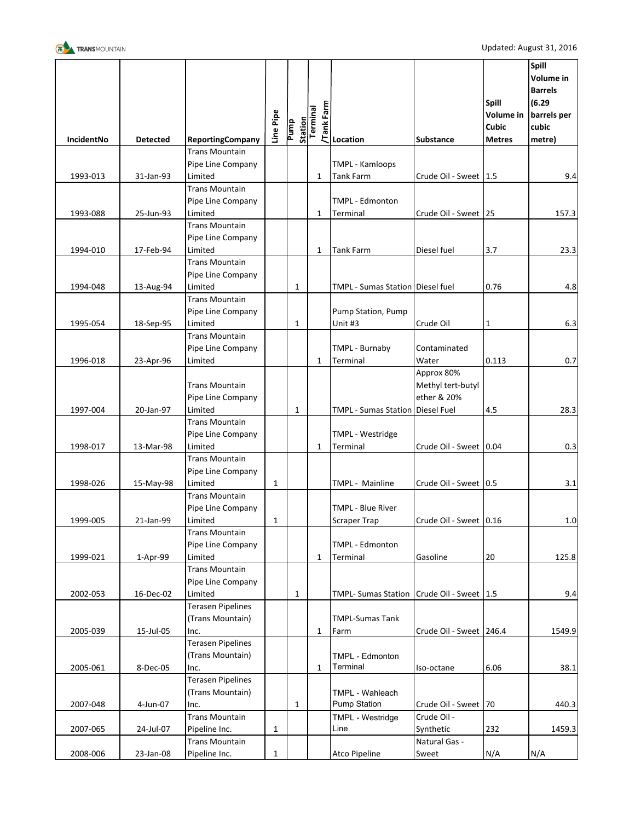

|                   |                 |                                            | Line Pipe    | Pump         | Tank Farm<br>Station<br>Terminal |                                               |                                                | <b>Spill</b><br><b>Volume in</b><br><b>Cubic</b> | Spill<br>Volume in<br><b>Barrels</b><br>(6.29)<br>barrels per<br>cubic |
|-------------------|-----------------|--------------------------------------------|--------------|--------------|----------------------------------|-----------------------------------------------|------------------------------------------------|--------------------------------------------------|------------------------------------------------------------------------|
| <b>IncidentNo</b> | <b>Detected</b> | <b>ReportingCompany</b>                    |              |              |                                  | Location                                      | <b>Substance</b>                               | <b>Metres</b>                                    | metre)                                                                 |
|                   |                 | <b>Trans Mountain</b>                      |              |              |                                  |                                               |                                                |                                                  |                                                                        |
|                   |                 | Pipe Line Company                          |              |              |                                  | <b>TMPL - Kamloops</b>                        |                                                |                                                  |                                                                        |
| 1993-013          | 31-Jan-93       | Limited<br><b>Trans Mountain</b>           |              |              | $\mathbf{1}$                     | <b>Tank Farm</b>                              | Crude Oil - Sweet 1.5                          |                                                  | 9.4                                                                    |
|                   |                 |                                            |              |              |                                  | TMPL - Edmonton                               |                                                |                                                  |                                                                        |
| 1993-088          | 25-Jun-93       | Pipe Line Company<br>Limited               |              |              | $\mathbf{1}$                     | Terminal                                      | Crude Oil - Sweet   25                         |                                                  | 157.3                                                                  |
|                   |                 | <b>Trans Mountain</b>                      |              |              |                                  |                                               |                                                |                                                  |                                                                        |
|                   |                 | Pipe Line Company                          |              |              |                                  |                                               |                                                |                                                  |                                                                        |
| 1994-010          | 17-Feb-94       | Limited                                    |              |              | 1                                | <b>Tank Farm</b>                              | Diesel fuel                                    | 3.7                                              | 23.3                                                                   |
|                   |                 | <b>Trans Mountain</b>                      |              |              |                                  |                                               |                                                |                                                  |                                                                        |
|                   |                 | Pipe Line Company                          |              |              |                                  |                                               |                                                |                                                  |                                                                        |
| 1994-048          | 13-Aug-94       | Limited                                    |              | $\mathbf 1$  |                                  | TMPL - Sumas Station   Diesel fuel            |                                                | 0.76                                             | 4.8                                                                    |
|                   |                 | <b>Trans Mountain</b>                      |              |              |                                  |                                               |                                                |                                                  |                                                                        |
|                   |                 | Pipe Line Company                          |              |              |                                  | Pump Station, Pump                            |                                                |                                                  |                                                                        |
| 1995-054          | 18-Sep-95       | Limited                                    |              | $\mathbf{1}$ |                                  | Unit #3                                       | Crude Oil                                      | 1                                                | 6.3                                                                    |
|                   |                 | <b>Trans Mountain</b>                      |              |              |                                  |                                               |                                                |                                                  |                                                                        |
|                   |                 | Pipe Line Company                          |              |              |                                  | TMPL - Burnaby                                | Contaminated                                   |                                                  |                                                                        |
| 1996-018          | 23-Apr-96       | Limited                                    |              |              | 1                                | Terminal                                      | Water                                          | 0.113                                            | 0.7                                                                    |
|                   |                 | <b>Trans Mountain</b><br>Pipe Line Company |              |              |                                  |                                               | Approx 80%<br>Methyl tert-butyl<br>ether & 20% |                                                  |                                                                        |
| 1997-004          | 20-Jan-97       | Limited                                    |              | 1            |                                  | <b>TMPL - Sumas Station Diesel Fuel</b>       |                                                | 4.5                                              | 28.3                                                                   |
|                   |                 | <b>Trans Mountain</b>                      |              |              |                                  |                                               |                                                |                                                  |                                                                        |
| 1998-017          |                 | Pipe Line Company<br>Limited               |              |              | $\mathbf{1}$                     | TMPL - Westridge<br>Terminal                  | Crude Oil - Sweet 0.04                         |                                                  | 0.3                                                                    |
|                   | 13-Mar-98       | <b>Trans Mountain</b>                      |              |              |                                  |                                               |                                                |                                                  |                                                                        |
|                   |                 | Pipe Line Company                          |              |              |                                  |                                               |                                                |                                                  |                                                                        |
| 1998-026          | 15-May-98       | Limited                                    | 1            |              |                                  | TMPL - Mainline                               | Crude Oil - Sweet   0.5                        |                                                  | 3.1                                                                    |
|                   |                 | <b>Trans Mountain</b>                      |              |              |                                  |                                               |                                                |                                                  |                                                                        |
|                   |                 | Pipe Line Company                          |              |              |                                  | <b>TMPL - Blue River</b>                      |                                                |                                                  |                                                                        |
| 1999-005          | 21-Jan-99       | Limited                                    | 1            |              |                                  | <b>Scraper Trap</b>                           | Crude Oil - Sweet 0.16                         |                                                  | $1.0\,$                                                                |
|                   |                 | <b>Trans Mountain</b>                      |              |              |                                  |                                               |                                                |                                                  |                                                                        |
|                   |                 | Pipe Line Company                          |              |              |                                  | TMPL - Edmonton                               |                                                |                                                  |                                                                        |
| 1999-021          | 1-Apr-99        | Limited                                    |              |              | $\mathbf{1}$                     | Terminal                                      | Gasoline                                       | $20\,$                                           | 125.8                                                                  |
|                   |                 | <b>Trans Mountain</b>                      |              |              |                                  |                                               |                                                |                                                  |                                                                        |
|                   |                 | Pipe Line Company                          |              |              |                                  |                                               |                                                |                                                  |                                                                        |
| 2002-053          | 16-Dec-02       | Limited                                    |              | $\mathbf{1}$ |                                  | TMPL- Sumas Station   Crude Oil - Sweet   1.5 |                                                |                                                  | 9.4                                                                    |
|                   |                 | <b>Terasen Pipelines</b>                   |              |              |                                  |                                               |                                                |                                                  |                                                                        |
|                   |                 | (Trans Mountain)                           |              |              |                                  | <b>TMPL-Sumas Tank</b>                        |                                                |                                                  |                                                                        |
| 2005-039          | 15-Jul-05       | Inc.                                       |              |              | 1                                | Farm                                          | Crude Oil - Sweet 246.4                        |                                                  | 1549.9                                                                 |
|                   |                 | <b>Terasen Pipelines</b>                   |              |              |                                  |                                               |                                                |                                                  |                                                                        |
|                   |                 | (Trans Mountain)                           |              |              |                                  | TMPL - Edmonton                               |                                                |                                                  |                                                                        |
| 2005-061          | 8-Dec-05        | Inc.                                       |              |              | $\mathbf{1}$                     | Terminal                                      | Iso-octane                                     | 6.06                                             | 38.1                                                                   |
|                   |                 | <b>Terasen Pipelines</b>                   |              |              |                                  |                                               |                                                |                                                  |                                                                        |
|                   |                 | (Trans Mountain)                           |              |              |                                  | TMPL - Wahleach                               |                                                |                                                  |                                                                        |
| 2007-048          | 4-Jun-07        | Inc.                                       |              | $\mathbf{1}$ |                                  | <b>Pump Station</b>                           | Crude Oil - Sweet 70                           |                                                  | 440.3                                                                  |
|                   |                 | <b>Trans Mountain</b>                      |              |              |                                  | TMPL - Westridge                              | Crude Oil -                                    |                                                  |                                                                        |
| 2007-065          | 24-Jul-07       | Pipeline Inc.                              | 1            |              |                                  | Line                                          | Synthetic                                      | 232                                              | 1459.3                                                                 |
|                   |                 | <b>Trans Mountain</b>                      |              |              |                                  |                                               | Natural Gas -                                  |                                                  |                                                                        |
| 2008-006          | 23-Jan-08       | Pipeline Inc.                              | $\mathbf{1}$ |              |                                  | Atco Pipeline                                 | Sweet                                          | N/A                                              | N/A                                                                    |